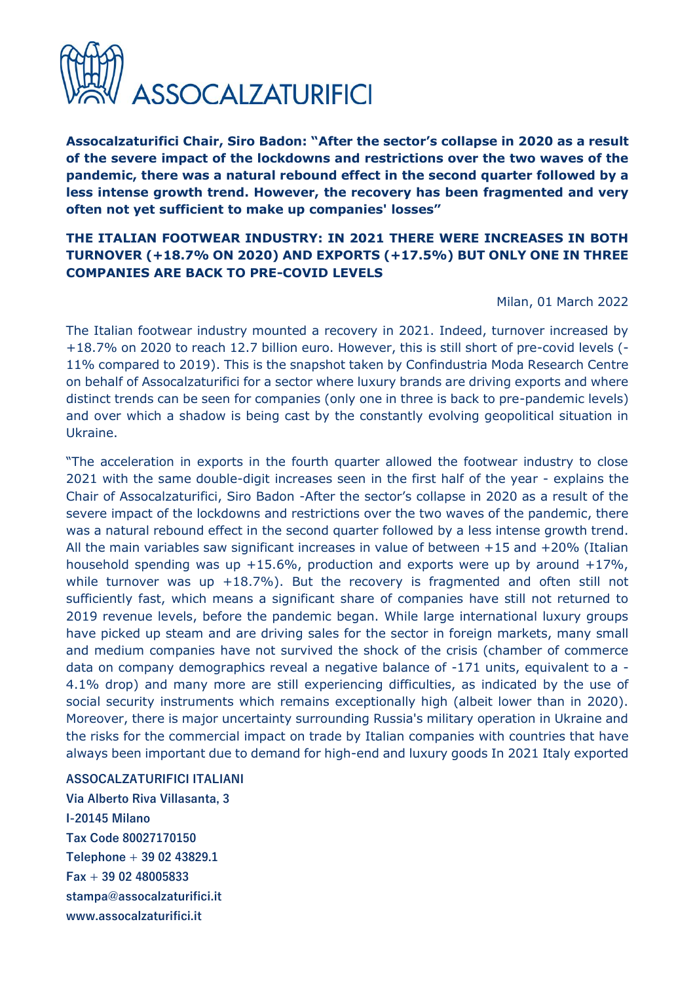

**Assocalzaturifici Chair, Siro Badon: "After the sector's collapse in 2020 as a result of the severe impact of the lockdowns and restrictions over the two waves of the pandemic, there was a natural rebound effect in the second quarter followed by a less intense growth trend. However, the recovery has been fragmented and very often not yet sufficient to make up companies' losses"** 

## **THE ITALIAN FOOTWEAR INDUSTRY: IN 2021 THERE WERE INCREASES IN BOTH TURNOVER (+18.7% ON 2020) AND EXPORTS (+17.5%) BUT ONLY ONE IN THREE COMPANIES ARE BACK TO PRE-COVID LEVELS**

Milan, 01 March 2022

The Italian footwear industry mounted a recovery in 2021. Indeed, turnover increased by +18.7% on 2020 to reach 12.7 billion euro. However, this is still short of pre-covid levels (- 11% compared to 2019). This is the snapshot taken by Confindustria Moda Research Centre on behalf of Assocalzaturifici for a sector where luxury brands are driving exports and where distinct trends can be seen for companies (only one in three is back to pre-pandemic levels) and over which a shadow is being cast by the constantly evolving geopolitical situation in Ukraine.

"The acceleration in exports in the fourth quarter allowed the footwear industry to close 2021 with the same double-digit increases seen in the first half of the year - explains the Chair of Assocalzaturifici, Siro Badon -After the sector's collapse in 2020 as a result of the severe impact of the lockdowns and restrictions over the two waves of the pandemic, there was a natural rebound effect in the second quarter followed by a less intense growth trend. All the main variables saw significant increases in value of between +15 and +20% (Italian household spending was up  $+15.6\%$ , production and exports were up by around  $+17\%$ , while turnover was up  $+18.7\%$ ). But the recovery is fragmented and often still not sufficiently fast, which means a significant share of companies have still not returned to 2019 revenue levels, before the pandemic began. While large international luxury groups have picked up steam and are driving sales for the sector in foreign markets, many small and medium companies have not survived the shock of the crisis (chamber of commerce data on company demographics reveal a negative balance of -171 units, equivalent to a - 4.1% drop) and many more are still experiencing difficulties, as indicated by the use of social security instruments which remains exceptionally high (albeit lower than in 2020). Moreover, there is major uncertainty surrounding Russia's military operation in Ukraine and the risks for the commercial impact on trade by Italian companies with countries that have always been important due to demand for high-end and luxury goods In 2021 Italy exported

## **ASSOCALZATURIFICI ITALIANI**

**Via Alberto Riva Villasanta, 3 I-20145 Milano Tax Code 80027170150 Telephone + 39 02 43829.1 Fax + 39 02 48005833 stampa@assocalzaturifici.it www.assocalzaturifici.it**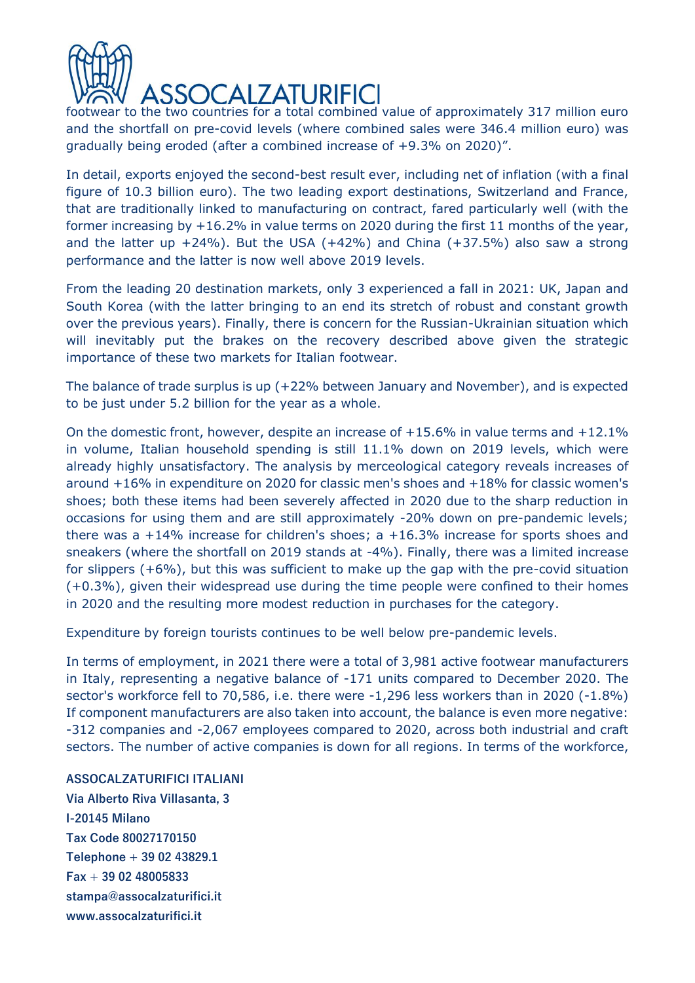

footwear to the two countries for a total combined value of approximately 317 million euro and the shortfall on pre-covid levels (where combined sales were 346.4 million euro) was gradually being eroded (after a combined increase of +9.3% on 2020)".

In detail, exports enjoyed the second-best result ever, including net of inflation (with a final figure of 10.3 billion euro). The two leading export destinations, Switzerland and France, that are traditionally linked to manufacturing on contract, fared particularly well (with the former increasing by +16.2% in value terms on 2020 during the first 11 months of the year, and the latter up  $+24\%$ ). But the USA ( $+42\%$ ) and China ( $+37.5\%$ ) also saw a strong performance and the latter is now well above 2019 levels.

From the leading 20 destination markets, only 3 experienced a fall in 2021: UK, Japan and South Korea (with the latter bringing to an end its stretch of robust and constant growth over the previous years). Finally, there is concern for the Russian-Ukrainian situation which will inevitably put the brakes on the recovery described above given the strategic importance of these two markets for Italian footwear.

The balance of trade surplus is up (+22% between January and November), and is expected to be just under 5.2 billion for the year as a whole.

On the domestic front, however, despite an increase of  $+15.6\%$  in value terms and  $+12.1\%$ in volume, Italian household spending is still 11.1% down on 2019 levels, which were already highly unsatisfactory. The analysis by merceological category reveals increases of around +16% in expenditure on 2020 for classic men's shoes and +18% for classic women's shoes; both these items had been severely affected in 2020 due to the sharp reduction in occasions for using them and are still approximately -20% down on pre-pandemic levels; there was a +14% increase for children's shoes; a +16.3% increase for sports shoes and sneakers (where the shortfall on 2019 stands at -4%). Finally, there was a limited increase for slippers  $(+6%)$ , but this was sufficient to make up the gap with the pre-covid situation  $(+0.3%)$ , given their widespread use during the time people were confined to their homes in 2020 and the resulting more modest reduction in purchases for the category.

Expenditure by foreign tourists continues to be well below pre-pandemic levels.

In terms of employment, in 2021 there were a total of 3,981 active footwear manufacturers in Italy, representing a negative balance of -171 units compared to December 2020. The sector's workforce fell to 70,586, i.e. there were -1,296 less workers than in 2020 (-1.8%) If component manufacturers are also taken into account, the balance is even more negative: -312 companies and -2,067 employees compared to 2020, across both industrial and craft sectors. The number of active companies is down for all regions. In terms of the workforce,

**ASSOCALZATURIFICI ITALIANI**

**Via Alberto Riva Villasanta, 3 I-20145 Milano Tax Code 80027170150 Telephone + 39 02 43829.1 Fax + 39 02 48005833 stampa@assocalzaturifici.it www.assocalzaturifici.it**